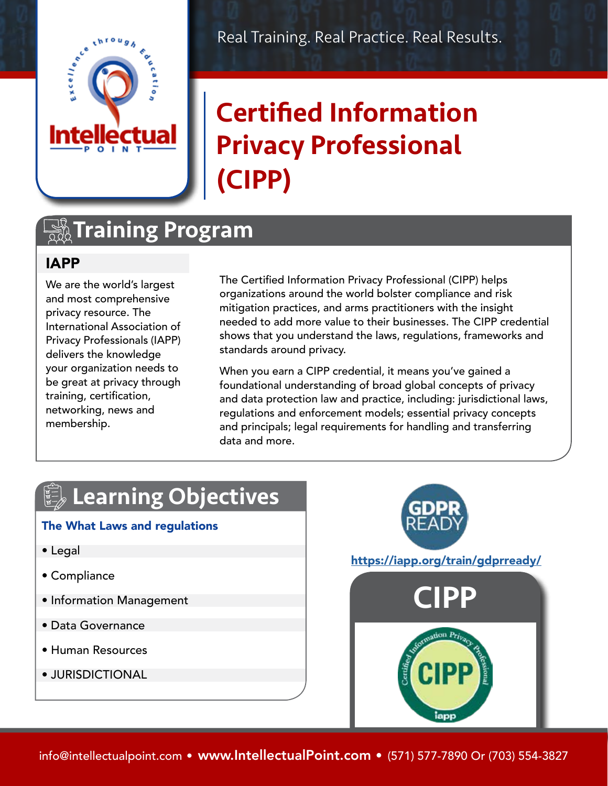

Real Training. Real Practice. Real Results.

# Certified Information Privacy Professional (CIPP)

## **TA Training Program**

### IAPP

We are the world's largest and most comprehensive privacy resource. The International Association of Privacy Professionals (IAPP) delivers the knowledge your organization needs to be great at privacy through training, certification, networking, news and membership.

The Certified Information Privacy Professional (CIPP) helps organizations around the world bolster compliance and risk mitigation practices, and arms practitioners with the insight needed to add more value to their businesses. The CIPP credential shows that you understand the laws, regulations, frameworks and standards around privacy.

When you earn a CIPP credential, it means you've gained a foundational understanding of broad global concepts of privacy and data protection law and practice, including: jurisdictional laws, regulations and enforcement models; essential privacy concepts and principals; legal requirements for handling and transferring data and more.

# **Learning Objectives**

#### The What Laws and regulations

- Legal
- Compliance
- Information Management
- Data Governance
- Human Resources
- JURISDICTIONAL



info@intellectualpoint.com • www.IntellectualPoint.com • (571) 577-7890 Or (703) 554-3827